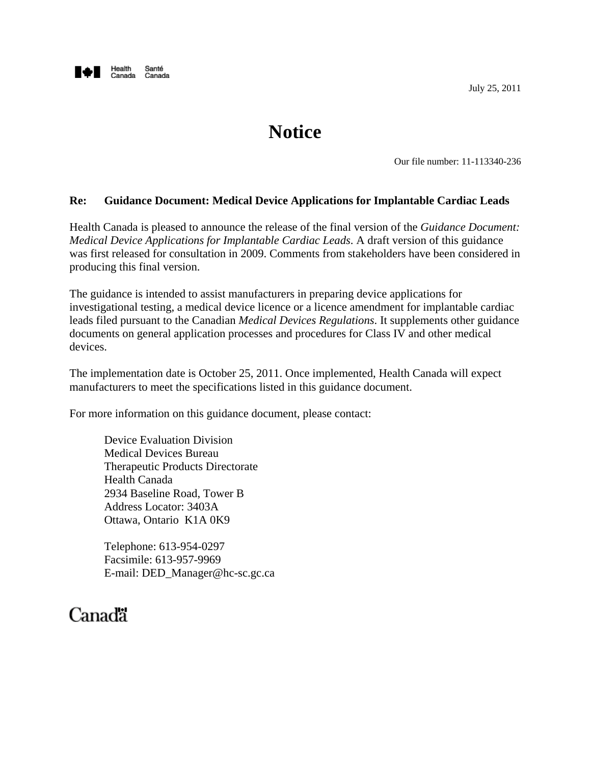

# **Notice**

Our file number: 11-113340-236

#### **Re: Guidance Document: Medical Device Applications for Implantable Cardiac Leads**

Health Canada is pleased to announce the release of the final version of the *Guidance Document: Medical Device Applications for Implantable Cardiac Leads*. A draft version of this guidance was first released for consultation in 2009. Comments from stakeholders have been considered in producing this final version.

The guidance is intended to assist manufacturers in preparing device applications for investigational testing, a medical device licence or a licence amendment for implantable cardiac leads filed pursuant to the Canadian *Medical Devices Regulations*. It supplements other guidance documents on general application processes and procedures for Class IV and other medical devices.

The implementation date is October 25, 2011. Once implemented, Health Canada will expect manufacturers to meet the specifications listed in this guidance document.

For more information on this guidance document, please contact:

 Device Evaluation Division Medical Devices Bureau Therapeutic Products Directorate Health Canada 2934 Baseline Road, Tower B Address Locator: 3403A Ottawa, Ontario K1A 0K9

 Telephone: 613-954-0297 Facsimile: 613-957-9969 E-mail: DED\_Manager@hc-sc.gc.ca

# Canada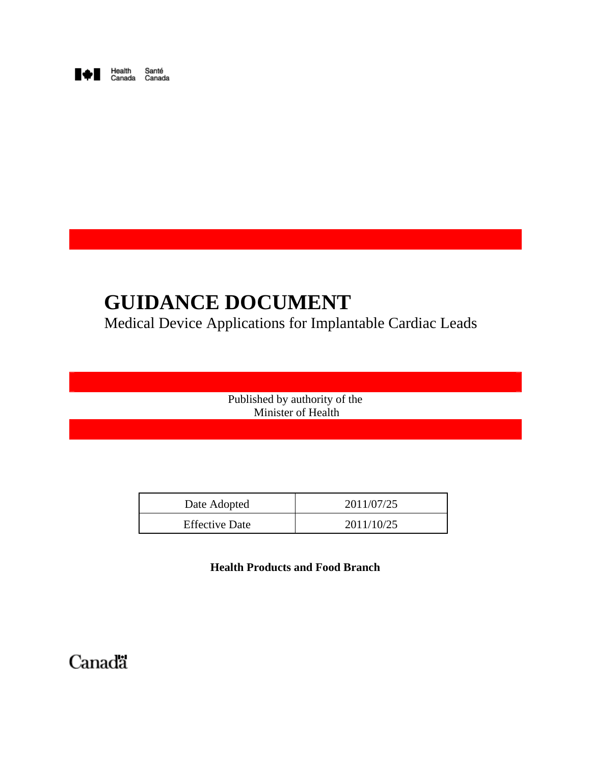

# **GUIDANCE DOCUMENT**

Medical Device Applications for Implantable Cardiac Leads

 Published by authority of the Minister of Health

| Date Adopted          | 2011/07/25 |
|-----------------------|------------|
| <b>Effective Date</b> | 2011/10/25 |

**Health Products and Food Branch**

Canada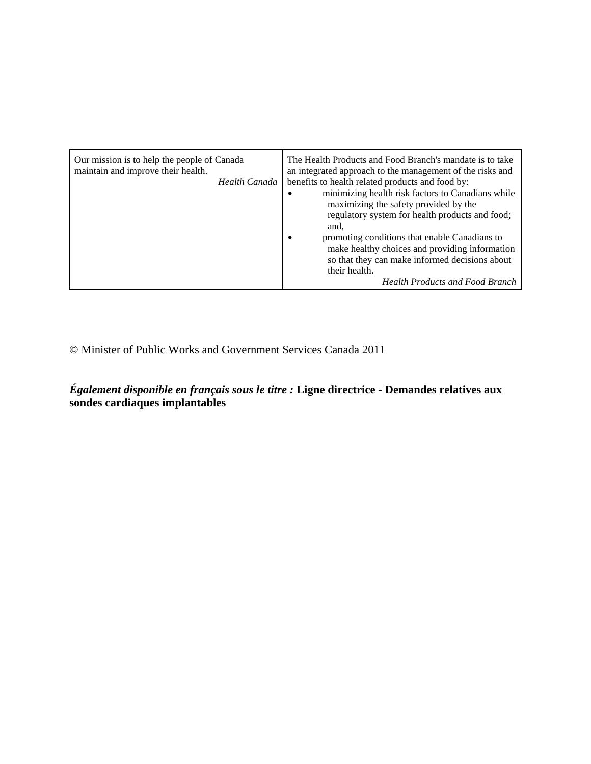© Minister of Public Works and Government Services Canada 2011

*Également disponible en français sous le titre :* **Ligne directrice - Demandes relatives aux sondes cardiaques implantables**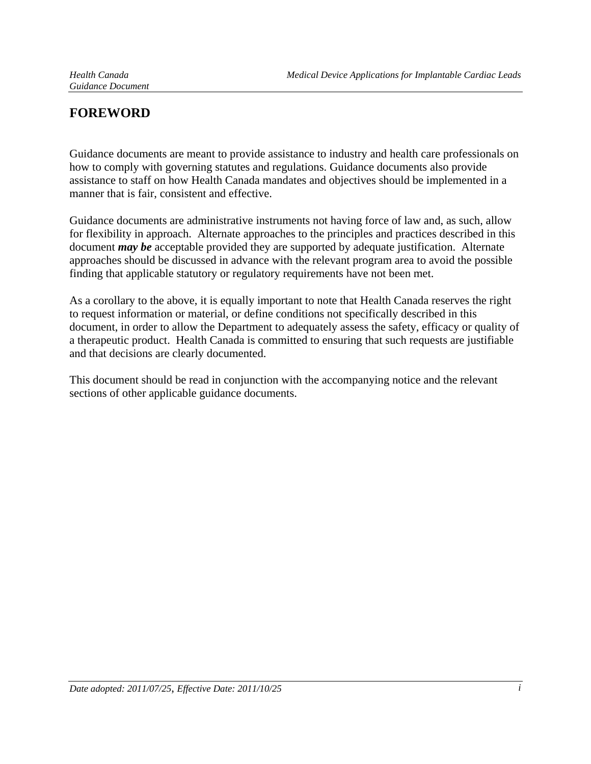# **FOREWORD**

Guidance documents are meant to provide assistance to industry and health care professionals on how to comply with governing statutes and regulations. Guidance documents also provide assistance to staff on how Health Canada mandates and objectives should be implemented in a manner that is fair, consistent and effective.

Guidance documents are administrative instruments not having force of law and, as such, allow for flexibility in approach. Alternate approaches to the principles and practices described in this document *may be* acceptable provided they are supported by adequate justification. Alternate approaches should be discussed in advance with the relevant program area to avoid the possible finding that applicable statutory or regulatory requirements have not been met.

As a corollary to the above, it is equally important to note that Health Canada reserves the right to request information or material, or define conditions not specifically described in this document, in order to allow the Department to adequately assess the safety, efficacy or quality of a therapeutic product. Health Canada is committed to ensuring that such requests are justifiable and that decisions are clearly documented.

This document should be read in conjunction with the accompanying notice and the relevant sections of other applicable guidance documents.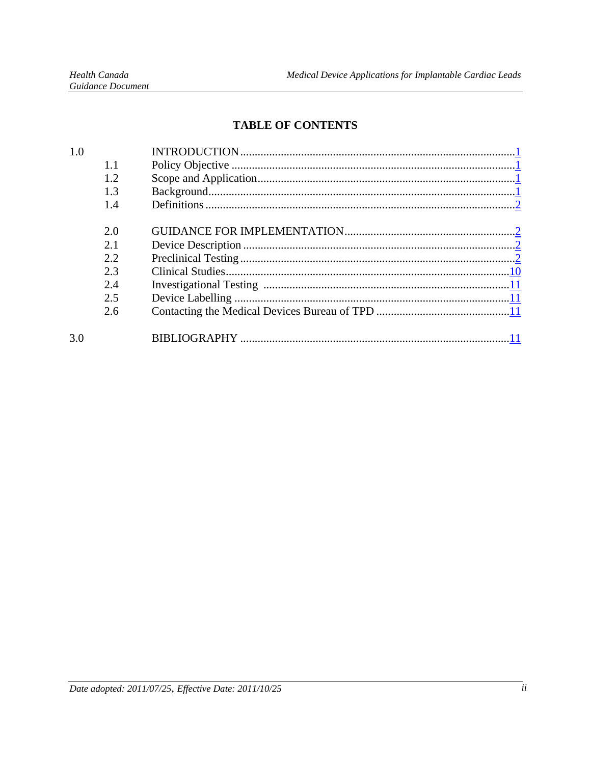# **TABLE OF CONTENTS**

| 1.0 |     |  |
|-----|-----|--|
|     | 1.1 |  |
|     | 1.2 |  |
|     | 1.3 |  |
|     | 14  |  |
|     |     |  |
|     | 2.0 |  |
|     | 2.1 |  |
|     | 2.2 |  |
|     | 2.3 |  |
|     | 2.4 |  |
|     | 2.5 |  |
|     | 2.6 |  |
| 3.0 |     |  |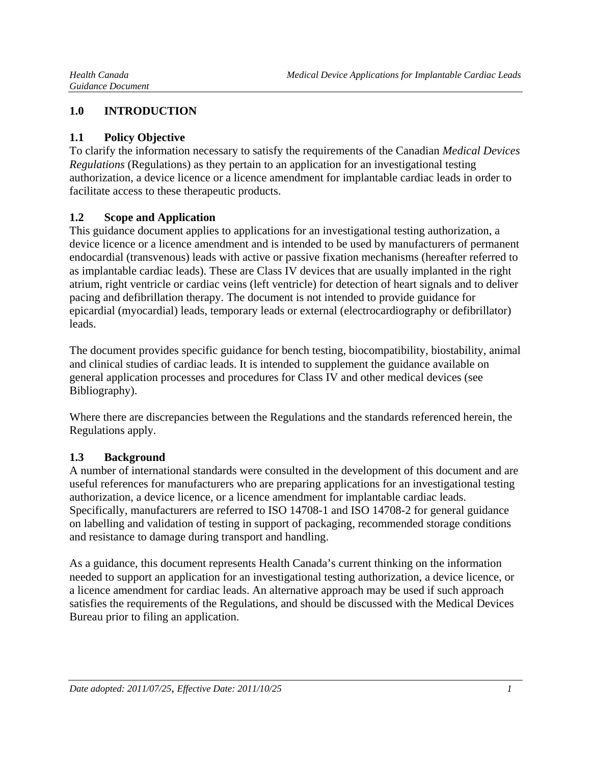## **1.0 INTRODUCTION**

#### **1.1 Policy Objective**

To clarify the information necessary to satisfy the requirements of the Canadian *Medical Devices Regulations* (Regulations) as they pertain to an application for an investigational testing authorization, a device licence or a licence amendment for implantable cardiac leads in order to facilitate access to these therapeutic products.

#### **1.2 Scope and Application**

This guidance document applies to applications for an investigational testing authorization, a device licence or a licence amendment and is intended to be used by manufacturers of permanent endocardial (transvenous) leads with active or passive fixation mechanisms (hereafter referred to as implantable cardiac leads). These are Class IV devices that are usually implanted in the right atrium, right ventricle or cardiac veins (left ventricle) for detection of heart signals and to deliver pacing and defibrillation therapy. The document is not intended to provide guidance for epicardial (myocardial) leads, temporary leads or external (electrocardiography or defibrillator) leads.

The document provides specific guidance for bench testing, biocompatibility, biostability, animal and clinical studies of cardiac leads. It is intended to supplement the guidance available on general application processes and procedures for Class IV and other medical devices (see Bibliography).

Where there are discrepancies between the Regulations and the standards referenced herein, the Regulations apply.

#### **1.3 Background**

A number of international standards were consulted in the development of this document and are useful references for manufacturers who are preparing applications for an investigational testing authorization, a device licence, or a licence amendment for implantable cardiac leads. Specifically, manufacturers are referred to ISO 14708-1 and ISO 14708-2 for general guidance on labelling and validation of testing in support of packaging, recommended storage conditions and resistance to damage during transport and handling.

As a guidance, this document represents Health Canada's current thinking on the information needed to support an application for an investigational testing authorization, a device licence, or a licence amendment for cardiac leads. An alternative approach may be used if such approach satisfies the requirements of the Regulations, and should be discussed with the Medical Devices Bureau prior to filing an application.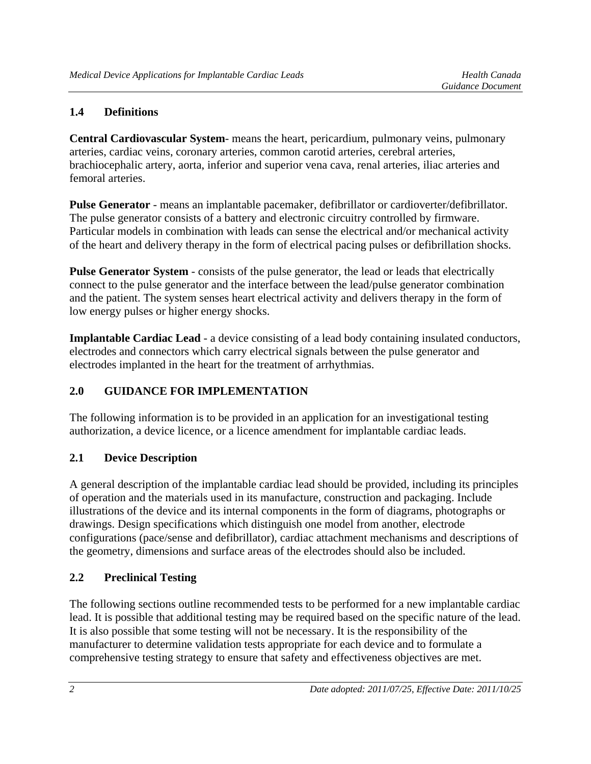## **1.4 Definitions**

**Central Cardiovascular System**- means the heart, pericardium, pulmonary veins, pulmonary arteries, cardiac veins, coronary arteries, common carotid arteries, cerebral arteries, brachiocephalic artery, aorta, inferior and superior vena cava, renal arteries, iliac arteries and femoral arteries.

**Pulse Generator** - means an implantable pacemaker, defibrillator or cardioverter/defibrillator. The pulse generator consists of a battery and electronic circuitry controlled by firmware. Particular models in combination with leads can sense the electrical and/or mechanical activity of the heart and delivery therapy in the form of electrical pacing pulses or defibrillation shocks.

**Pulse Generator System** - consists of the pulse generator, the lead or leads that electrically connect to the pulse generator and the interface between the lead/pulse generator combination and the patient. The system senses heart electrical activity and delivers therapy in the form of low energy pulses or higher energy shocks.

**Implantable Cardiac Lead** - a device consisting of a lead body containing insulated conductors, electrodes and connectors which carry electrical signals between the pulse generator and electrodes implanted in the heart for the treatment of arrhythmias.

## **2.0 GUIDANCE FOR IMPLEMENTATION**

The following information is to be provided in an application for an investigational testing authorization, a device licence, or a licence amendment for implantable cardiac leads.

#### **2.1 Device Description**

A general description of the implantable cardiac lead should be provided, including its principles of operation and the materials used in its manufacture, construction and packaging. Include illustrations of the device and its internal components in the form of diagrams, photographs or drawings. Design specifications which distinguish one model from another, electrode configurations (pace/sense and defibrillator), cardiac attachment mechanisms and descriptions of the geometry, dimensions and surface areas of the electrodes should also be included.

## **2.2 Preclinical Testing**

The following sections outline recommended tests to be performed for a new implantable cardiac lead. It is possible that additional testing may be required based on the specific nature of the lead. It is also possible that some testing will not be necessary. It is the responsibility of the manufacturer to determine validation tests appropriate for each device and to formulate a comprehensive testing strategy to ensure that safety and effectiveness objectives are met.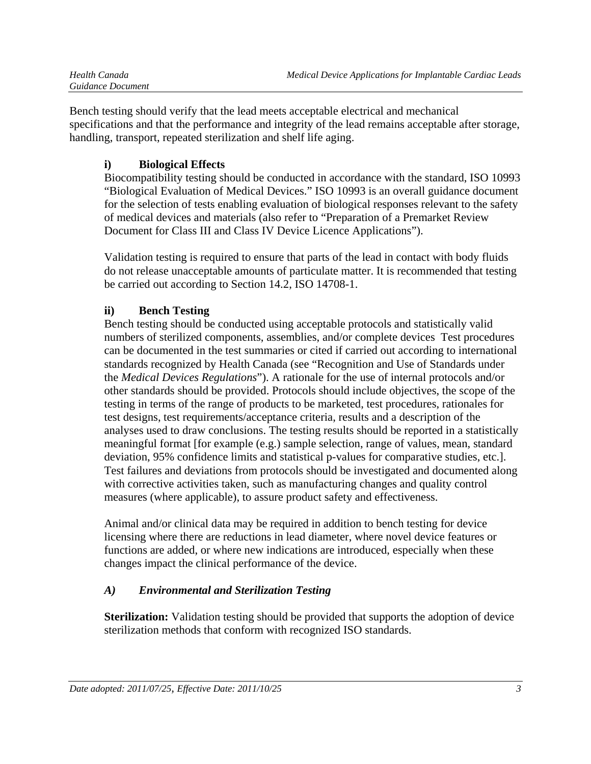| Health Canada     |
|-------------------|
| Guidance Document |

Bench testing should verify that the lead meets acceptable electrical and mechanical specifications and that the performance and integrity of the lead remains acceptable after storage, handling, transport, repeated sterilization and shelf life aging.

# **i) Biological Effects**

Biocompatibility testing should be conducted in accordance with the standard, ISO 10993 "Biological Evaluation of Medical Devices." ISO 10993 is an overall guidance document for the selection of tests enabling evaluation of biological responses relevant to the safety of medical devices and materials (also refer to "Preparation of a Premarket Review Document for Class III and Class IV Device Licence Applications").

Validation testing is required to ensure that parts of the lead in contact with body fluids do not release unacceptable amounts of particulate matter. It is recommended that testing be carried out according to Section 14.2, ISO 14708-1.

# **ii) Bench Testing**

Bench testing should be conducted using acceptable protocols and statistically valid numbers of sterilized components, assemblies, and/or complete devices Test procedures can be documented in the test summaries or cited if carried out according to international standards recognized by Health Canada (see "Recognition and Use of Standards under the *Medical Devices Regulations*"). A rationale for the use of internal protocols and/or other standards should be provided. Protocols should include objectives, the scope of the testing in terms of the range of products to be marketed, test procedures, rationales for test designs, test requirements/acceptance criteria, results and a description of the analyses used to draw conclusions. The testing results should be reported in a statistically meaningful format [for example (e.g.) sample selection, range of values, mean, standard deviation, 95% confidence limits and statistical p-values for comparative studies, etc.]. Test failures and deviations from protocols should be investigated and documented along with corrective activities taken, such as manufacturing changes and quality control measures (where applicable), to assure product safety and effectiveness.

Animal and/or clinical data may be required in addition to bench testing for device licensing where there are reductions in lead diameter, where novel device features or functions are added, or where new indications are introduced, especially when these changes impact the clinical performance of the device.

# *A) Environmental and Sterilization Testing*

**Sterilization:** Validation testing should be provided that supports the adoption of device sterilization methods that conform with recognized ISO standards.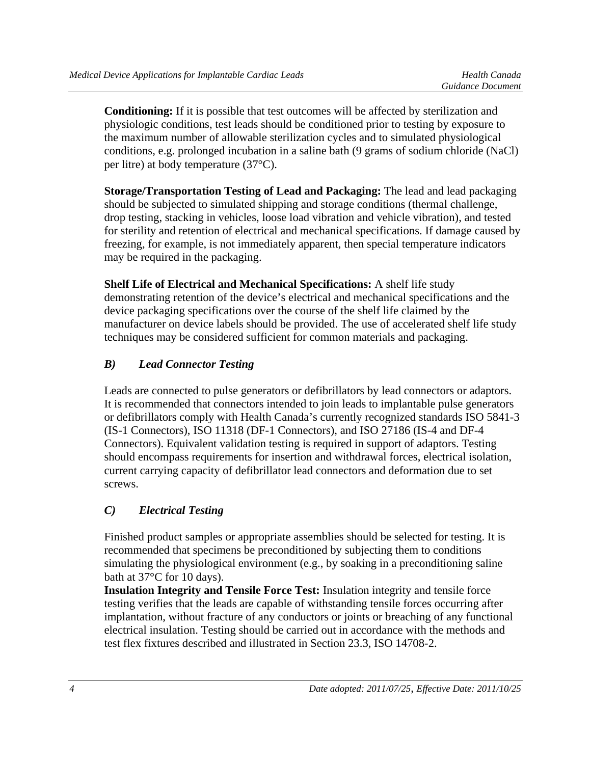**Conditioning:** If it is possible that test outcomes will be affected by sterilization and physiologic conditions, test leads should be conditioned prior to testing by exposure to the maximum number of allowable sterilization cycles and to simulated physiological conditions, e.g. prolonged incubation in a saline bath (9 grams of sodium chloride (NaCl) per litre) at body temperature (37°C).

**Storage/Transportation Testing of Lead and Packaging:** The lead and lead packaging should be subjected to simulated shipping and storage conditions (thermal challenge, drop testing, stacking in vehicles, loose load vibration and vehicle vibration), and tested for sterility and retention of electrical and mechanical specifications. If damage caused by freezing, for example, is not immediately apparent, then special temperature indicators may be required in the packaging.

**Shelf Life of Electrical and Mechanical Specifications:** A shelf life study demonstrating retention of the device's electrical and mechanical specifications and the device packaging specifications over the course of the shelf life claimed by the manufacturer on device labels should be provided. The use of accelerated shelf life study techniques may be considered sufficient for common materials and packaging.

# *B) Lead Connector Testing*

Leads are connected to pulse generators or defibrillators by lead connectors or adaptors. It is recommended that connectors intended to join leads to implantable pulse generators or defibrillators comply with Health Canada's currently recognized standards ISO 5841-3 (IS-1 Connectors), ISO 11318 (DF-1 Connectors), and ISO 27186 (IS-4 and DF-4 Connectors). Equivalent validation testing is required in support of adaptors. Testing should encompass requirements for insertion and withdrawal forces, electrical isolation, current carrying capacity of defibrillator lead connectors and deformation due to set screws.

# *C) Electrical Testing*

Finished product samples or appropriate assemblies should be selected for testing. It is recommended that specimens be preconditioned by subjecting them to conditions simulating the physiological environment (e.g., by soaking in a preconditioning saline bath at 37°C for 10 days).

**Insulation Integrity and Tensile Force Test:** Insulation integrity and tensile force testing verifies that the leads are capable of withstanding tensile forces occurring after implantation, without fracture of any conductors or joints or breaching of any functional electrical insulation. Testing should be carried out in accordance with the methods and test flex fixtures described and illustrated in Section 23.3, ISO 14708-2.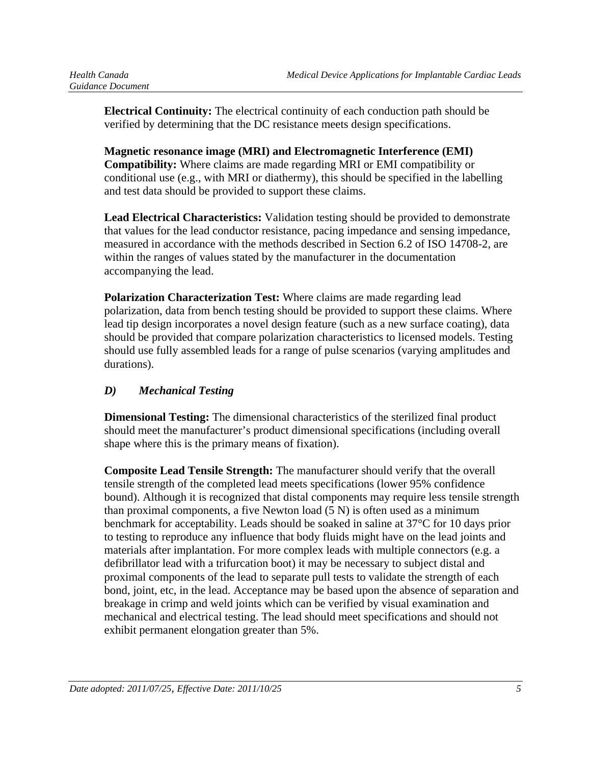**Electrical Continuity:** The electrical continuity of each conduction path should be verified by determining that the DC resistance meets design specifications.

**Magnetic resonance image (MRI) and Electromagnetic Interference (EMI) Compatibility:** Where claims are made regarding MRI or EMI compatibility or conditional use (e.g., with MRI or diathermy), this should be specified in the labelling and test data should be provided to support these claims.

**Lead Electrical Characteristics:** Validation testing should be provided to demonstrate that values for the lead conductor resistance, pacing impedance and sensing impedance, measured in accordance with the methods described in Section 6.2 of ISO 14708-2, are within the ranges of values stated by the manufacturer in the documentation accompanying the lead.

**Polarization Characterization Test:** Where claims are made regarding lead polarization, data from bench testing should be provided to support these claims. Where lead tip design incorporates a novel design feature (such as a new surface coating), data should be provided that compare polarization characteristics to licensed models. Testing should use fully assembled leads for a range of pulse scenarios (varying amplitudes and durations).

## *D) Mechanical Testing*

**Dimensional Testing:** The dimensional characteristics of the sterilized final product should meet the manufacturer's product dimensional specifications (including overall shape where this is the primary means of fixation).

**Composite Lead Tensile Strength:** The manufacturer should verify that the overall tensile strength of the completed lead meets specifications (lower 95% confidence bound). Although it is recognized that distal components may require less tensile strength than proximal components, a five Newton load (5 N) is often used as a minimum benchmark for acceptability. Leads should be soaked in saline at 37°C for 10 days prior to testing to reproduce any influence that body fluids might have on the lead joints and materials after implantation. For more complex leads with multiple connectors (e.g. a defibrillator lead with a trifurcation boot) it may be necessary to subject distal and proximal components of the lead to separate pull tests to validate the strength of each bond, joint, etc, in the lead. Acceptance may be based upon the absence of separation and breakage in crimp and weld joints which can be verified by visual examination and mechanical and electrical testing. The lead should meet specifications and should not exhibit permanent elongation greater than 5%.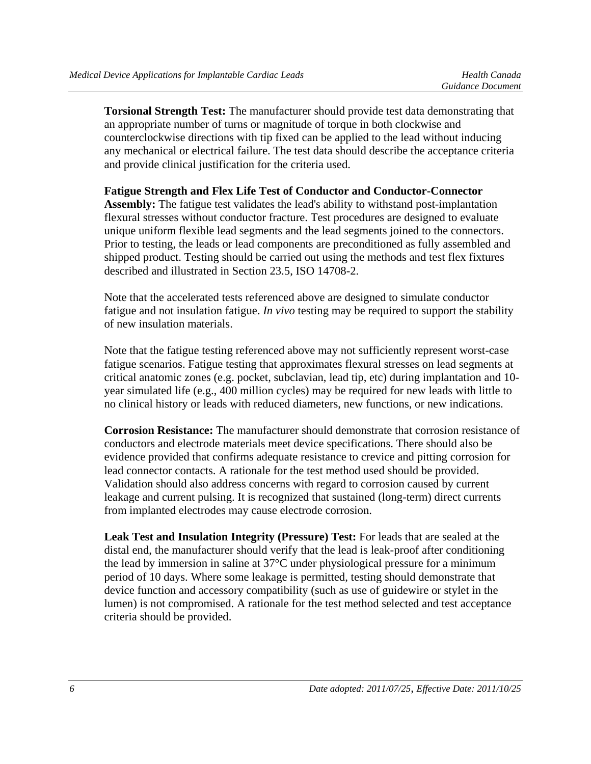**Torsional Strength Test:** The manufacturer should provide test data demonstrating that an appropriate number of turns or magnitude of torque in both clockwise and counterclockwise directions with tip fixed can be applied to the lead without inducing any mechanical or electrical failure. The test data should describe the acceptance criteria and provide clinical justification for the criteria used.

#### **Fatigue Strength and Flex Life Test of Conductor and Conductor-Connector**

**Assembly:** The fatigue test validates the lead's ability to withstand post-implantation flexural stresses without conductor fracture. Test procedures are designed to evaluate unique uniform flexible lead segments and the lead segments joined to the connectors. Prior to testing, the leads or lead components are preconditioned as fully assembled and shipped product. Testing should be carried out using the methods and test flex fixtures described and illustrated in Section 23.5, ISO 14708-2.

Note that the accelerated tests referenced above are designed to simulate conductor fatigue and not insulation fatigue. *In vivo* testing may be required to support the stability of new insulation materials.

Note that the fatigue testing referenced above may not sufficiently represent worst-case fatigue scenarios. Fatigue testing that approximates flexural stresses on lead segments at critical anatomic zones (e.g. pocket, subclavian, lead tip, etc) during implantation and 10 year simulated life (e.g., 400 million cycles) may be required for new leads with little to no clinical history or leads with reduced diameters, new functions, or new indications.

**Corrosion Resistance:** The manufacturer should demonstrate that corrosion resistance of conductors and electrode materials meet device specifications. There should also be evidence provided that confirms adequate resistance to crevice and pitting corrosion for lead connector contacts. A rationale for the test method used should be provided. Validation should also address concerns with regard to corrosion caused by current leakage and current pulsing. It is recognized that sustained (long-term) direct currents from implanted electrodes may cause electrode corrosion.

**Leak Test and Insulation Integrity (Pressure) Test:** For leads that are sealed at the distal end, the manufacturer should verify that the lead is leak-proof after conditioning the lead by immersion in saline at 37°C under physiological pressure for a minimum period of 10 days. Where some leakage is permitted, testing should demonstrate that device function and accessory compatibility (such as use of guidewire or stylet in the lumen) is not compromised. A rationale for the test method selected and test acceptance criteria should be provided.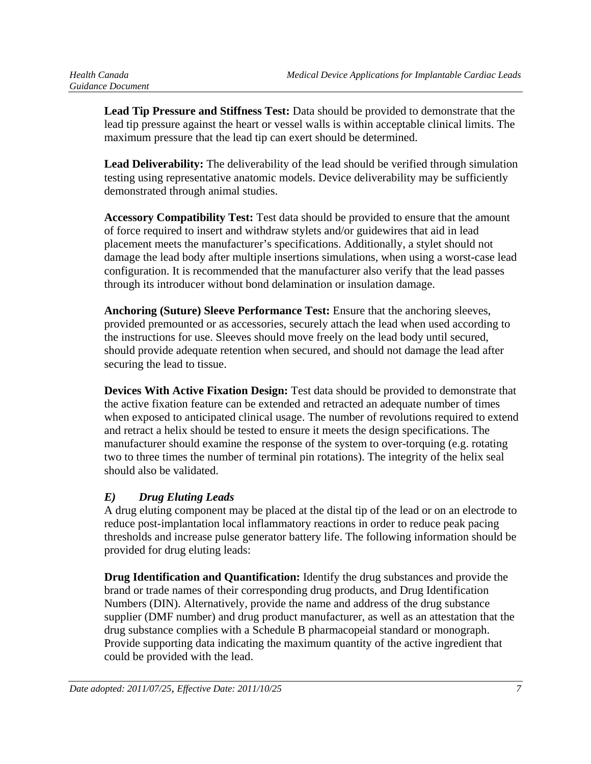**Lead Tip Pressure and Stiffness Test:** Data should be provided to demonstrate that the lead tip pressure against the heart or vessel walls is within acceptable clinical limits. The maximum pressure that the lead tip can exert should be determined.

**Lead Deliverability:** The deliverability of the lead should be verified through simulation testing using representative anatomic models. Device deliverability may be sufficiently demonstrated through animal studies.

**Accessory Compatibility Test:** Test data should be provided to ensure that the amount of force required to insert and withdraw stylets and/or guidewires that aid in lead placement meets the manufacturer's specifications. Additionally, a stylet should not damage the lead body after multiple insertions simulations, when using a worst-case lead configuration. It is recommended that the manufacturer also verify that the lead passes through its introducer without bond delamination or insulation damage.

**Anchoring (Suture) Sleeve Performance Test:** Ensure that the anchoring sleeves, provided premounted or as accessories, securely attach the lead when used according to the instructions for use. Sleeves should move freely on the lead body until secured, should provide adequate retention when secured, and should not damage the lead after securing the lead to tissue.

**Devices With Active Fixation Design:** Test data should be provided to demonstrate that the active fixation feature can be extended and retracted an adequate number of times when exposed to anticipated clinical usage. The number of revolutions required to extend and retract a helix should be tested to ensure it meets the design specifications. The manufacturer should examine the response of the system to over-torquing (e.g. rotating two to three times the number of terminal pin rotations). The integrity of the helix seal should also be validated.

# *E) Drug Eluting Leads*

A drug eluting component may be placed at the distal tip of the lead or on an electrode to reduce post-implantation local inflammatory reactions in order to reduce peak pacing thresholds and increase pulse generator battery life. The following information should be provided for drug eluting leads:

**Drug Identification and Quantification:** Identify the drug substances and provide the brand or trade names of their corresponding drug products, and Drug Identification Numbers (DIN). Alternatively, provide the name and address of the drug substance supplier (DMF number) and drug product manufacturer, as well as an attestation that the drug substance complies with a Schedule B pharmacopeial standard or monograph. Provide supporting data indicating the maximum quantity of the active ingredient that could be provided with the lead.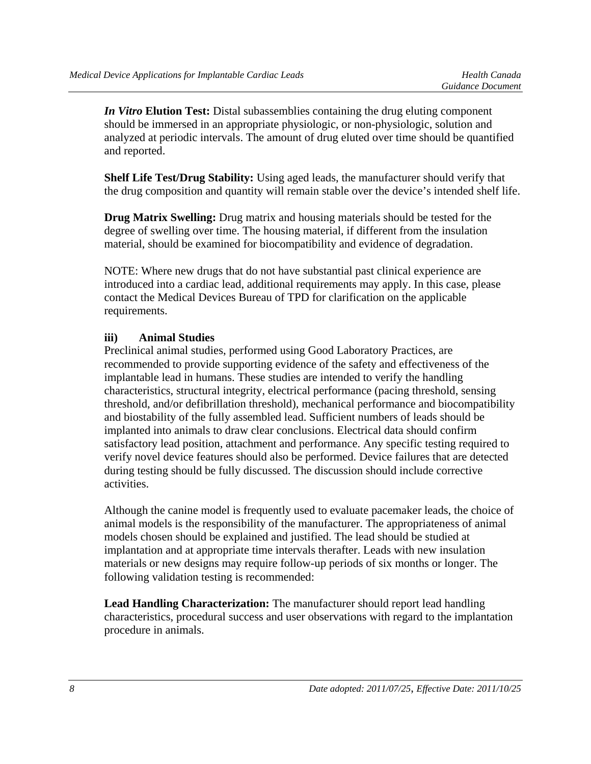*In Vitro* **Elution Test:** Distal subassemblies containing the drug eluting component should be immersed in an appropriate physiologic, or non-physiologic, solution and analyzed at periodic intervals. The amount of drug eluted over time should be quantified and reported.

**Shelf Life Test/Drug Stability:** Using aged leads, the manufacturer should verify that the drug composition and quantity will remain stable over the device's intended shelf life.

**Drug Matrix Swelling:** Drug matrix and housing materials should be tested for the degree of swelling over time. The housing material, if different from the insulation material, should be examined for biocompatibility and evidence of degradation.

NOTE: Where new drugs that do not have substantial past clinical experience are introduced into a cardiac lead, additional requirements may apply. In this case, please contact the Medical Devices Bureau of TPD for clarification on the applicable requirements.

#### **iii) Animal Studies**

Preclinical animal studies, performed using Good Laboratory Practices, are recommended to provide supporting evidence of the safety and effectiveness of the implantable lead in humans. These studies are intended to verify the handling characteristics, structural integrity, electrical performance (pacing threshold, sensing threshold, and/or defibrillation threshold), mechanical performance and biocompatibility and biostability of the fully assembled lead. Sufficient numbers of leads should be implanted into animals to draw clear conclusions. Electrical data should confirm satisfactory lead position, attachment and performance. Any specific testing required to verify novel device features should also be performed. Device failures that are detected during testing should be fully discussed. The discussion should include corrective activities.

Although the canine model is frequently used to evaluate pacemaker leads, the choice of animal models is the responsibility of the manufacturer. The appropriateness of animal models chosen should be explained and justified. The lead should be studied at implantation and at appropriate time intervals therafter. Leads with new insulation materials or new designs may require follow-up periods of six months or longer. The following validation testing is recommended:

**Lead Handling Characterization:** The manufacturer should report lead handling characteristics, procedural success and user observations with regard to the implantation procedure in animals.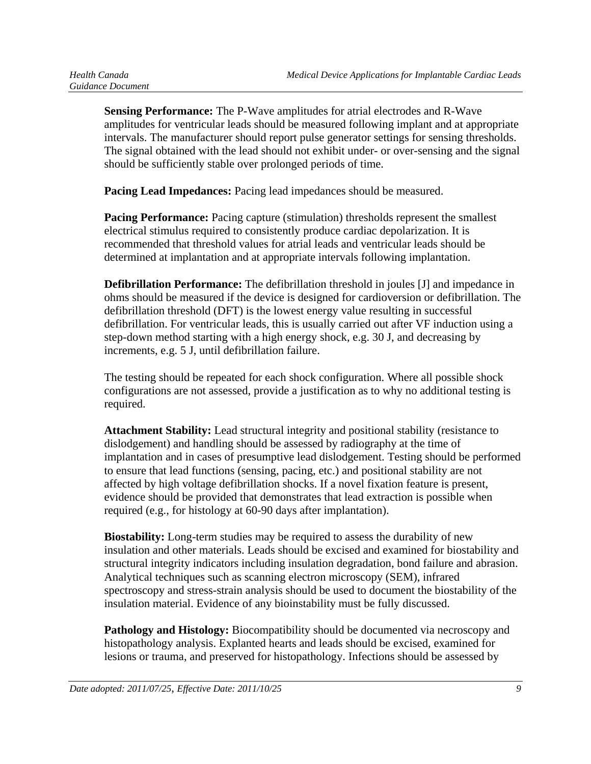**Sensing Performance:** The P-Wave amplitudes for atrial electrodes and R-Wave amplitudes for ventricular leads should be measured following implant and at appropriate intervals. The manufacturer should report pulse generator settings for sensing thresholds. The signal obtained with the lead should not exhibit under- or over-sensing and the signal should be sufficiently stable over prolonged periods of time.

**Pacing Lead Impedances:** Pacing lead impedances should be measured.

**Pacing Performance:** Pacing capture (stimulation) thresholds represent the smallest electrical stimulus required to consistently produce cardiac depolarization. It is recommended that threshold values for atrial leads and ventricular leads should be determined at implantation and at appropriate intervals following implantation.

**Defibrillation Performance:** The defibrillation threshold in joules [J] and impedance in ohms should be measured if the device is designed for cardioversion or defibrillation. The defibrillation threshold (DFT) is the lowest energy value resulting in successful defibrillation. For ventricular leads, this is usually carried out after VF induction using a step-down method starting with a high energy shock, e.g. 30 J, and decreasing by increments, e.g. 5 J, until defibrillation failure.

The testing should be repeated for each shock configuration. Where all possible shock configurations are not assessed, provide a justification as to why no additional testing is required.

**Attachment Stability:** Lead structural integrity and positional stability (resistance to dislodgement) and handling should be assessed by radiography at the time of implantation and in cases of presumptive lead dislodgement. Testing should be performed to ensure that lead functions (sensing, pacing, etc.) and positional stability are not affected by high voltage defibrillation shocks. If a novel fixation feature is present, evidence should be provided that demonstrates that lead extraction is possible when required (e.g., for histology at 60-90 days after implantation).

**Biostability:** Long-term studies may be required to assess the durability of new insulation and other materials. Leads should be excised and examined for biostability and structural integrity indicators including insulation degradation, bond failure and abrasion. Analytical techniques such as scanning electron microscopy (SEM), infrared spectroscopy and stress-strain analysis should be used to document the biostability of the insulation material. Evidence of any bioinstability must be fully discussed.

**Pathology and Histology:** Biocompatibility should be documented via necroscopy and histopathology analysis. Explanted hearts and leads should be excised, examined for lesions or trauma, and preserved for histopathology. Infections should be assessed by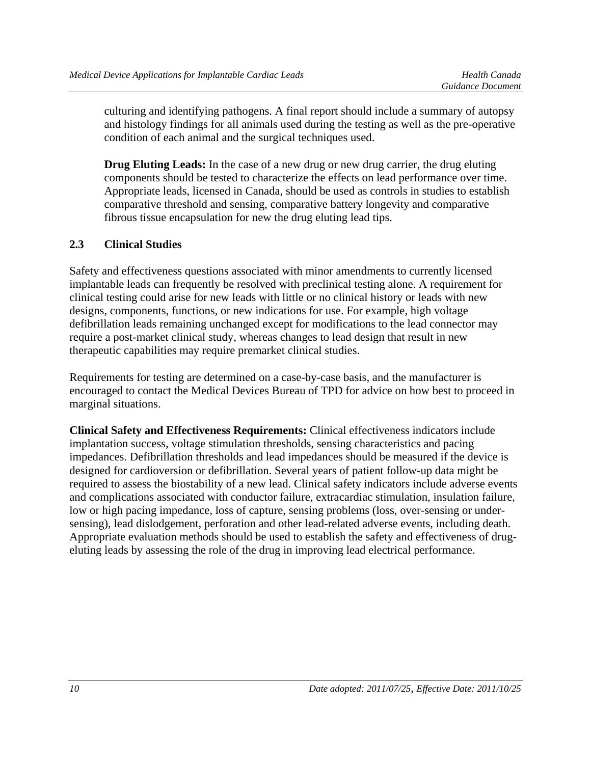culturing and identifying pathogens. A final report should include a summary of autopsy and histology findings for all animals used during the testing as well as the pre-operative condition of each animal and the surgical techniques used.

**Drug Eluting Leads:** In the case of a new drug or new drug carrier, the drug eluting components should be tested to characterize the effects on lead performance over time. Appropriate leads, licensed in Canada, should be used as controls in studies to establish comparative threshold and sensing, comparative battery longevity and comparative fibrous tissue encapsulation for new the drug eluting lead tips.

## **2.3 Clinical Studies**

Safety and effectiveness questions associated with minor amendments to currently licensed implantable leads can frequently be resolved with preclinical testing alone. A requirement for clinical testing could arise for new leads with little or no clinical history or leads with new designs, components, functions, or new indications for use. For example, high voltage defibrillation leads remaining unchanged except for modifications to the lead connector may require a post-market clinical study, whereas changes to lead design that result in new therapeutic capabilities may require premarket clinical studies.

Requirements for testing are determined on a case-by-case basis, and the manufacturer is encouraged to contact the Medical Devices Bureau of TPD for advice on how best to proceed in marginal situations.

**Clinical Safety and Effectiveness Requirements:** Clinical effectiveness indicators include implantation success, voltage stimulation thresholds, sensing characteristics and pacing impedances. Defibrillation thresholds and lead impedances should be measured if the device is designed for cardioversion or defibrillation. Several years of patient follow-up data might be required to assess the biostability of a new lead. Clinical safety indicators include adverse events and complications associated with conductor failure, extracardiac stimulation, insulation failure, low or high pacing impedance, loss of capture, sensing problems (loss, over-sensing or undersensing), lead dislodgement, perforation and other lead-related adverse events, including death. Appropriate evaluation methods should be used to establish the safety and effectiveness of drugeluting leads by assessing the role of the drug in improving lead electrical performance.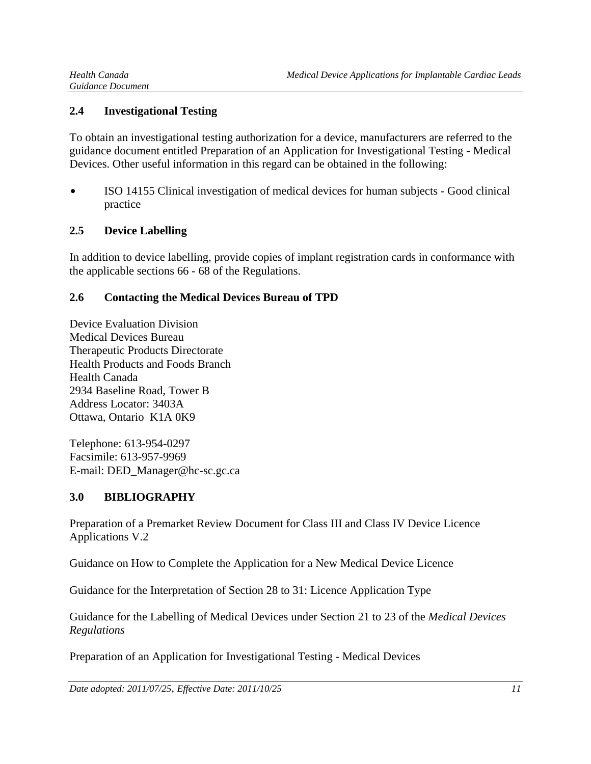#### **2.4 Investigational Testing**

To obtain an investigational testing authorization for a device, manufacturers are referred to the guidance document entitled Preparation of an Application for Investigational Testing - Medical Devices. Other useful information in this regard can be obtained in the following:

• ISO 14155 Clinical investigation of medical devices for human subjects - Good clinical practice

## **2.5 Device Labelling**

In addition to device labelling, provide copies of implant registration cards in conformance with the applicable sections 66 - 68 of the Regulations.

#### **2.6 Contacting the Medical Devices Bureau of TPD**

Device Evaluation Division Medical Devices Bureau Therapeutic Products Directorate Health Products and Foods Branch Health Canada 2934 Baseline Road, Tower B Address Locator: 3403A Ottawa, Ontario K1A 0K9

Telephone: 613-954-0297 Facsimile: 613-957-9969 E-mail: DED\_Manager@hc-sc.gc.ca

## **3.0 BIBLIOGRAPHY**

Preparation of a Premarket Review Document for Class III and Class IV Device Licence Applications V.2

Guidance on How to Complete the Application for a New Medical Device Licence

Guidance for the Interpretation of Section 28 to 31: Licence Application Type

Guidance for the Labelling of Medical Devices under Section 21 to 23 of the *Medical Devices Regulations*

Preparation of an Application for Investigational Testing - Medical Devices